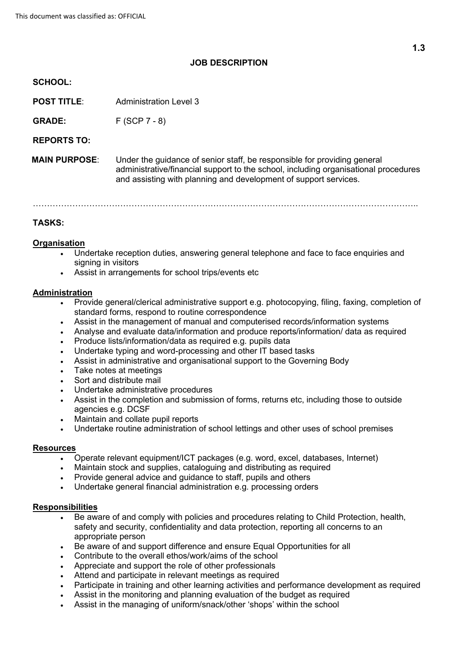# **JOB DESCRIPTION**

### **SCHOOL:**

**POST TITLE:** Administration Level 3

**GRADE:**  $F (SCP 7 - 8)$ 

**REPORTS TO:**

**MAIN PURPOSE**: Under the guidance of senior staff, be responsible for providing general administrative/financial support to the school, including organisational procedures and assisting with planning and development of support services.

………………………………………………………………………………………………………………………..

## **TASKS:**

### **Organisation**

- Undertake reception duties, answering general telephone and face to face enquiries and signing in visitors
- Assist in arrangements for school trips/events etc

## **Administration**

- Provide general/clerical administrative support e.g. photocopying, filing, faxing, completion of standard forms, respond to routine correspondence
- Assist in the management of manual and computerised records/information systems
- Analyse and evaluate data/information and produce reports/information/ data as required
- Produce lists/information/data as required e.g. pupils data
- Undertake typing and word-processing and other IT based tasks
- Assist in administrative and organisational support to the Governing Body
- Take notes at meetings
- Sort and distribute mail
- Undertake administrative procedures
- Assist in the completion and submission of forms, returns etc, including those to outside agencies e.g. DCSF
- Maintain and collate pupil reports
- Undertake routine administration of school lettings and other uses of school premises

#### **Resources**

- Operate relevant equipment/ICT packages (e.g. word, excel, databases, Internet)
- Maintain stock and supplies, cataloguing and distributing as required
- Provide general advice and guidance to staff, pupils and others
- Undertake general financial administration e.g. processing orders

#### **Responsibilities**

- Be aware of and comply with policies and procedures relating to Child Protection, health, safety and security, confidentiality and data protection, reporting all concerns to an appropriate person
- Be aware of and support difference and ensure Equal Opportunities for all
- Contribute to the overall ethos/work/aims of the school
- Appreciate and support the role of other professionals
- Attend and participate in relevant meetings as required
- Participate in training and other learning activities and performance development as required
- Assist in the monitoring and planning evaluation of the budget as required
- Assist in the managing of uniform/snack/other 'shops' within the school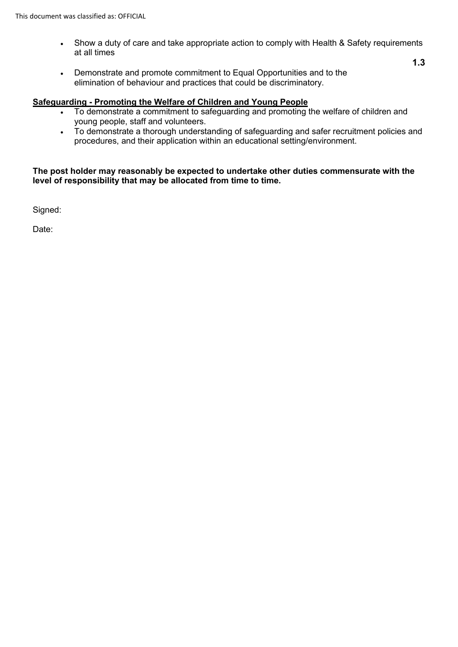- Show a duty of care and take appropriate action to comply with Health & Safety requirements at all times
- Demonstrate and promote commitment to Equal Opportunities and to the elimination of behaviour and practices that could be discriminatory.

## **Safeguarding - Promoting the Welfare of Children and Young People**

- To demonstrate a commitment to safeguarding and promoting the welfare of children and young people, staff and volunteers.
- To demonstrate a thorough understanding of safeguarding and safer recruitment policies and procedures, and their application within an educational setting/environment.

## **The post holder may reasonably be expected to undertake other duties commensurate with the level of responsibility that may be allocated from time to time.**

Signed:

Date:

**1.3**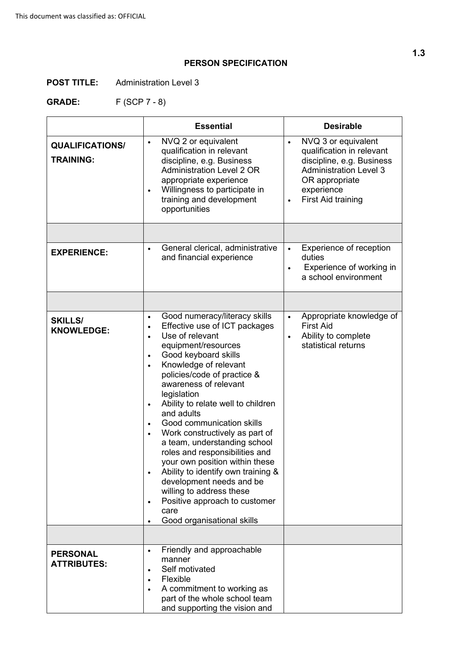# **PERSON SPECIFICATION**

**POST TITLE:** Administration Level 3

**GRADE:** F (SCP 7 - 8)

|                                            | <b>Essential</b>                                                                                                                                                                                                                                                                                                                                                                                                                                                                                                                                                                                                                                                                                                                                  | <b>Desirable</b>                                                                                                                                                                         |
|--------------------------------------------|---------------------------------------------------------------------------------------------------------------------------------------------------------------------------------------------------------------------------------------------------------------------------------------------------------------------------------------------------------------------------------------------------------------------------------------------------------------------------------------------------------------------------------------------------------------------------------------------------------------------------------------------------------------------------------------------------------------------------------------------------|------------------------------------------------------------------------------------------------------------------------------------------------------------------------------------------|
| <b>QUALIFICATIONS/</b><br><b>TRAINING:</b> | NVQ 2 or equivalent<br>$\bullet$<br>qualification in relevant<br>discipline, e.g. Business<br><b>Administration Level 2 OR</b><br>appropriate experience<br>Willingness to participate in<br>$\bullet$<br>training and development<br>opportunities                                                                                                                                                                                                                                                                                                                                                                                                                                                                                               | NVQ 3 or equivalent<br>$\bullet$<br>qualification in relevant<br>discipline, e.g. Business<br><b>Administration Level 3</b><br>OR appropriate<br>experience<br><b>First Aid training</b> |
|                                            |                                                                                                                                                                                                                                                                                                                                                                                                                                                                                                                                                                                                                                                                                                                                                   |                                                                                                                                                                                          |
| <b>EXPERIENCE:</b>                         | General clerical, administrative<br>$\bullet$<br>and financial experience                                                                                                                                                                                                                                                                                                                                                                                                                                                                                                                                                                                                                                                                         | Experience of reception<br>$\bullet$<br>duties<br>Experience of working in<br>a school environment                                                                                       |
|                                            |                                                                                                                                                                                                                                                                                                                                                                                                                                                                                                                                                                                                                                                                                                                                                   |                                                                                                                                                                                          |
| <b>SKILLS/</b><br><b>KNOWLEDGE:</b>        | Good numeracy/literacy skills<br>$\bullet$<br>Effective use of ICT packages<br>$\bullet$<br>Use of relevant<br>$\bullet$<br>equipment/resources<br>Good keyboard skills<br>$\bullet$<br>Knowledge of relevant<br>$\bullet$<br>policies/code of practice &<br>awareness of relevant<br>legislation<br>Ability to relate well to children<br>$\bullet$<br>and adults<br>Good communication skills<br>$\bullet$<br>Work constructively as part of<br>$\bullet$<br>a team, understanding school<br>roles and responsibilities and<br>your own position within these<br>Ability to identify own training &<br>development needs and be<br>willing to address these<br>Positive approach to customer<br>$\bullet$<br>care<br>Good organisational skills | Appropriate knowledge of<br>$\bullet$<br><b>First Aid</b><br>Ability to complete<br>statistical returns                                                                                  |
|                                            |                                                                                                                                                                                                                                                                                                                                                                                                                                                                                                                                                                                                                                                                                                                                                   |                                                                                                                                                                                          |
| <b>PERSONAL</b><br><b>ATTRIBUTES:</b>      | Friendly and approachable<br>$\bullet$<br>manner<br>Self motivated<br>$\bullet$<br>Flexible<br>A commitment to working as<br>$\bullet$<br>part of the whole school team<br>and supporting the vision and                                                                                                                                                                                                                                                                                                                                                                                                                                                                                                                                          |                                                                                                                                                                                          |